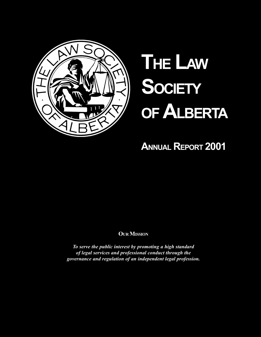

# **THE LAW SOCIETY OF ALBERTA**

**ANNUAL REPORT 2001**

**OUR MISSION**

*To serve the public interest by promoting a high standard of legal services and professional conduct through the governance and regulation of an independent legal profession.*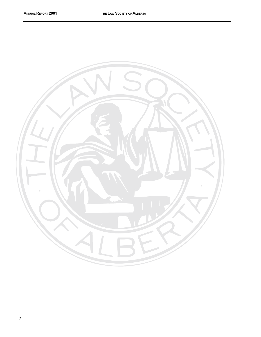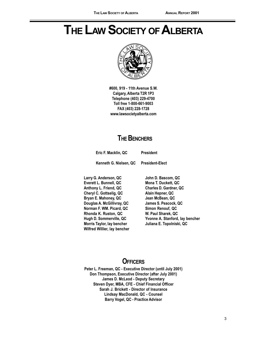### **THE LAW SOCIETY OF ALBERTA**



**#600, 919 - 11th Avenue S.W. Calgary, Alberta T2R 1P3 Telephone (403) 229-4700 Toll free 1-800-661-9003 FAX (403) 228-1728 www.lawsocietyalberta.com**

### **THE BENCHERS**

 **Eric F. Macklin, QC President**

 **Kenneth G. Nielsen, QC President-Elect**

**Larry G. Anderson, QC John D. Bascom, QC Everett L. Bunnell, QC Mona T. Duckett, QC Anthony L. Friend, QC Charles D. Gardner, QC Cheryl C. Gottselig, QC Alain Hepner, QC Bryan E. Mahoney, QC Jean McBean, QC Douglas A. McGillivray, QC James S. Peacock, QC Norman F. WM. Picard, QC Simon Renouf, QC Rhonda K. Ruston, QC W. Paul Sharek, QC** Morris Taylor, lay bencher Juliana E. Topolniski, QC **Wilfred Willier, lay bencher**

**Hugh D. Sommerville, QC Yvonne A. Stanford, lay bencher**

### **OFFICERS**

**Peter L. Freeman, QC - Executive Director (until July 2001) Don Thompson, Executive Director (after July 2001) James D. McLeod - Deputy Secretary Steven Dyer, MBA, CFE - Chief Financial Officer Sarah J. Brickett - Director of Insurance Lindsay MacDonald, QC - Counsel Barry Vogel, QC - Practice Advisor**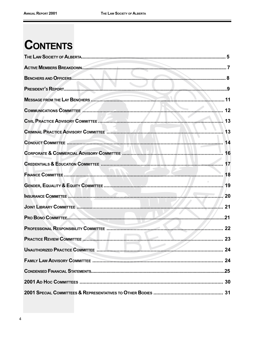# **CONTENTS**

| COMMUNICATIONS COMMITTEE |             |
|--------------------------|-------------|
|                          |             |
|                          |             |
|                          |             |
|                          |             |
|                          |             |
|                          |             |
|                          |             |
| INSURANCE COMMITTEE      |             |
| JOINT LIBRARY COMMITTEE  | $\ldots$ 21 |
|                          |             |
|                          |             |
|                          | 23          |
|                          |             |
|                          |             |
|                          |             |
|                          |             |
|                          |             |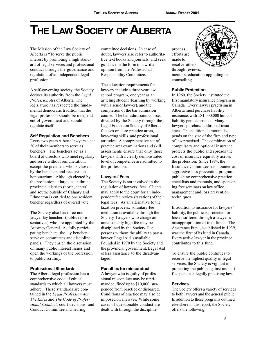# **THE LAW SOCIETY OF ALBERTA**

The Mission of the Law Society of Alberta is "To serve the public interest by promoting a high standard of legal services and professional conduct through the governance and regulation of an independent legal profession."

A self-governing society, the Society derives its authority from the *Legal Profession Act* of Alberta. The legislature has respected the fundamental democratic tradition that the legal profession should be independent of government and should regulate itself.

#### **Self Regulation and Benchers**

Every two years Alberta lawyers elect 20 of their members to serve as benchers. The benchers act as a board of directors who meet regularly and serve without remuneration, except the president who is chosen by the benchers and receives an honourarium. Although elected by the profession at large, each three provincial districts (north, central and south) outside of Calgary and Edmonton is entitled to one resident bencher regardless of overall vote.

The Society also has three nonlawyer lay benchers (public representatives) who are appointed by the Attorney General. As fully participating benchers, the lay benchers serve on committees and discipline panels. They enrich the discussion on many public interest issues and open the workings of the profession to public scrutiny.

#### **Professional Standards**

The Alberta legal profession has a comprehensive code of ethical standards to which all lawyers must adhere. These standards are contained in the *Legal Profession Act, The Rules* and *The Code of Professional Conduct*, court decisions, and Conduct Committee and hearing

committee decisions. In case of doubt, lawyers also refer to authoritative text books and journals, and seek guidance in the form of a written opinion from the Professional Responsibility Committee.

The education requirements for lawyers include a three year law school program, one year as an articling student (learning by working with a senior lawyer), and the completion of the bar admission course. The bar admission course, directed by the Society through the Legal Education Society of Alberta, focuses on core practice areas, lawyering skills, and professional attitudes. A comprehensive set of practice area examinations and skill assessments ensure that only those lawyers with a clearly demonstrated level of competence are admitted to the profession.

#### **Lawyers' Fees**

The Society is not involved in the regulation of lawyers' fees. Clients may apply to the court for an independent fee review (taxation) of their legal fees. As an alternative to the taxation process, voluntary fee mediation is available through the Society. Lawyers who charge an unreasonably high fee may be disciplined by the Society. For persons without the ability to pay a lawyer, Legal Aid is available. Founded in 1970 by the Society and the provincial government, Legal Aid offers assistance to the disadvantaged..

#### **Penalties for misconduct**

A lawyer who is guilty of professional misconduct may be reprimanded, fined up to \$10,000, suspended from practice or disbarred. Conditions of practice may also be imposed on a lawyer. While some cases of questionable conduct are dealt with through the discipline

process, efforts are made to resolve others through reviews, mentors, education upgrading or counselling.

#### **Public Protection**

In 1969, the Society instituted the first mandatory insurance program in Canada. Every lawyer practising in Alberta must purchase liability insurance, with a \$1,000,000 limit of liability per occurrence. Many lawyers purchase additional insurance. The additional amount depends on the size of the firm and type of law practised. The combination of compulsory and optional insurance protects the public and spreads the cost of insurance equitably across the profession. Since 1984, the Insurance Committee has mounted an aggressive loss prevention program, publishing comprehensive practice checklists and manuals, and sponsoring free seminars on law office management and loss prevention techniques.

In addition to insurance for lawyers' liability, the public is protected for losses suffered through a lawyer's misappropriation of trust funds. The Assurance Fund, established in 1939, was the first of its kind in Canada. Every active lawyer in the province contributes to this fund.

To ensure the public continues to receive the highest quality of legal services, the Society is vigilant in protecting the public against unqualified persons illegally practising law.

#### **Services**

The Society offers a variety of services to both lawyers and the general public. In addition to those programs outlined elsewhere in this report, the Society offers the following:

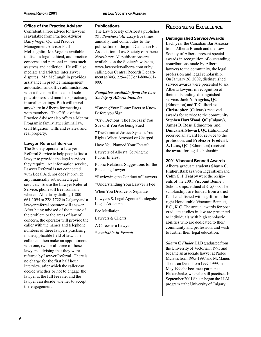#### **Office of the Practice Advisor**

Confidential free advice for lawyers is available from Practice Advisor Barry Vogel, QC and Practice Management Advisor Paul McLaughlin. Mr. Vogel is available to discuss legal, ethical, and practice concerns and personal matters such as stress and addiction. He will also mediate and arbitrate interlawyer disputes. Mr. McLaughlin provides assistance in practice management, automation and office administration, with a focus on the needs of sole practitioners and members practising in smaller settings. Both will travel anywhere in Alberta for meetings with members. The Office of the Practice Advisor also offers a Mentor Program in family law, criminal law, civil litigation, wills and estates, and real property.

#### **Lawyer Referral Service**

The Society operates a Lawyer Referral Service to help people find a lawyer to provide the legal services they require. An information service, Lawyer Referral is not connected with Legal Aid, nor does it provide any financially subsidized legal services. To use the Lawyer Referral Service, phone toll free from anywhere in Alberta by dialling 1-800- 661-1095 or 228-1722 in Calgary and a lawyer referral operator will answer. After being advised of the nature of the problem or the areas of law of concern, the operator will provide the caller with the names and telephone numbers of three lawyers practising in the applicable field of law. The caller can then make an appointment with one, two or all three of those lawyers, advising that they were referred by Lawyer Referral. There is no charge for the first half hour interview, after which the caller can decide whether or not to engage the lawyer at the full fee rate, and the lawyer can decide whether to accept the engagement.

#### **Publications**

The Law Society of Alberta publishes *The Benchers' Advisory* five times annually, and contributes to the publication of the joint Canadian Bar Association *-* Law Society of Alberta *Newsletter*. All publications are available on the Society's website, www.lawsocietyalberta.com or by calling our Central Records Department at (403) 229-4737 or 1-800-661- 9003.

#### *Pamphlets available from the Law Society of Alberta include:*

\*Buying Your Home: Facts to Know Before you Sign

\*Civil Actions: The Process if You Sue or if You Are being Sued

\*The Criminal Justice System: Your Rights When Arrested or Charged

Have You Planned Your Estate?

Lawyers of Alberta: Serving the Public Interest

Public Relations Suggestions for the Practising Lawyer

\*Reviewing the Conduct of Lawyers

\*Understanding Your Lawyer's Fee

When You Divorce or Separate

Lawyers & Legal Agents/Paralegals/ Legal Assistants

Fee Mediation

Lawyers & Clients

A Career as a Lawyer

*\* available in French.*

### **RECOGNIZING EXCELLENCE**

#### **Distinguished Service Awards**

Each year the Canadian Bar Association - Alberta Branch and the Law Society of Alberta present special awards in recognition of outstanding contributions made by Alberta lawyers to the community, the legal profession and legal scholarship. On January 26, 2002, distinguished service awards were presented to six Alberta lawyers in recognition of their outstanding distinguished service. **Jack N. Angrios, QC** (Edmonton) and **T. Catherine Christopher** (Calgary) received awards for service to the community; **Stephen Hart Wood, QC** (Calgary), **James D. Ross** (Edmonton) and **Duncan A. Stewart, QC** (Edmonton) received an award for service to the profession, and **Professor Frederik A. Laux, QC** (Edmonton) received the award for legal scholarship.

#### **2001 Viscount Bennett Awards**

Alberta graduate students **Shaun C. Fluker, Barbara von Tigerstrom** and **Colin C. J. Feasby** were the recipients of the 2001 Viscount Bennett Scholarships, valued at \$15,000. The scholarships are funded from a trust fund established with a gift from the right Honourable Viscount Bennett, P.C., K.C. The annual awards for post graduate studies in law are presented to individuals with high scholastic abilities who are dedicated to their community and profession, and wish to further their legal education.

*Shaun C. Fluker*, LLB graduated from the University of Victoria in 1995 and became an associate lawyer at Parlee Mclaws from 1995-1997 and McManus Thomson Deom from 1997-1999. In May 1999 he became a partner at Fluker Janke, where he still practises. In September 2001 Shaun began the LLM program at the University of Calgary.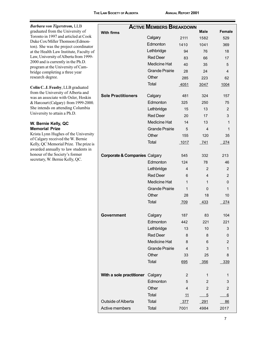| <b>Barbara von Tigerstrom, LLB</b>                                        | <b>ACTIVE MEMBERS BREAKDOWN</b>          |                       |                |                |                |
|---------------------------------------------------------------------------|------------------------------------------|-----------------------|----------------|----------------|----------------|
| graduated from the University of                                          | <b>With firms</b>                        |                       |                | <b>Male</b>    | <b>Female</b>  |
| Toronto in 1997 and articled at Cook                                      |                                          | Calgary               | 2111           | 1582           | 529            |
| Duke Cox/Miller Thomson (Edmon-<br>ton). She was the project coordinator  |                                          | Edmonton              | 1410           | 1041           | 369            |
| at the Health Law Institute, Faculty of                                   |                                          | Lethbridge            | 94             | 76             | 18             |
| Law, University of Alberta from 1999-                                     |                                          | <b>Red Deer</b>       | 83             | 66             | 17             |
| 2000 and is currently in the Ph.D.<br>program at the University of Cam-   |                                          | <b>Medicine Hat</b>   | 40             | 35             | 5              |
| bridge completing a three year                                            |                                          | <b>Grande Prairie</b> | 28             | 24             | 4              |
| research degree.                                                          |                                          | Other                 | 285            | 223            | 62             |
|                                                                           |                                          | Total                 | 4051           | 3047           | 1004           |
| Colin C. J. Feasby, LLB graduated<br>from the University of Alberta and   |                                          |                       |                |                |                |
| was an associate with Osler, Hoskin                                       | <b>Sole Practitioners</b>                | Calgary               | 481            | 324            | 157            |
| & Harcourt (Calgary) from 1999-2000.                                      |                                          | Edmonton              | 325            | 250            | 75             |
| She intends on attending Columbia<br>University to attain a Ph.D.         |                                          | Lethbridge            | 15             | 13             | $\overline{2}$ |
|                                                                           |                                          | <b>Red Deer</b>       | 20             | 17             | 3              |
| W. Bernie Kelly, QC                                                       |                                          | <b>Medicine Hat</b>   | 14             | 13             | 1              |
| <b>Memorial Prize</b>                                                     |                                          | <b>Grande Prairie</b> | 5              | 4              | 1              |
| Krista Lynn Hughes of the University<br>of Calgary received the W. Bernie |                                          | Other                 | 155            | 120            | 35             |
| Kelly, QC Memorial Prize. The prize is                                    |                                          | Total                 | 1017           | 741            | 274            |
| awarded annually to law students in                                       |                                          |                       |                |                |                |
| honour of the Society's former                                            | <b>Corporate &amp; Companies Calgary</b> |                       | 545            | 332            | 213            |
| secretary, W. Bernie Kelly, QC.                                           |                                          | Edmonton              | 124            | 78             | 46             |
|                                                                           |                                          | Lethbridge            | 4              | 2              | $\overline{2}$ |
|                                                                           |                                          | <b>Red Deer</b>       | 6              | $\overline{4}$ | $\overline{2}$ |
|                                                                           |                                          | <b>Medicine Hat</b>   | 1              | $\mathbf{1}$   | $\mathbf 0$    |
|                                                                           |                                          | <b>Grande Prairie</b> | 1              | 0              | $\mathbf{1}$   |
|                                                                           |                                          | Other                 | 28             | 18             | 10             |
|                                                                           |                                          | Total                 | 709            | $-433$         | $-274$         |
|                                                                           |                                          |                       |                |                |                |
|                                                                           | Government                               | Calgary               | 187            | 83             | 104            |
|                                                                           |                                          | Edmonton              | 442            | 221            | 221            |
|                                                                           |                                          | Lethbridge            | 13             | 10             | 3              |
|                                                                           |                                          | <b>Red Deer</b>       | 8              | 8              | $\mathbf 0$    |
|                                                                           |                                          | Medicine Hat          | 8              | 6              | $\overline{c}$ |
|                                                                           |                                          | <b>Grande Prairie</b> | 4              | 3              | 1              |
|                                                                           |                                          | Other                 | 33             | 25             | 8              |
|                                                                           |                                          | Total                 | 695            | 356            | 339            |
|                                                                           |                                          |                       |                |                |                |
|                                                                           | With a sole practitioner Calgary         |                       | $\overline{2}$ | $\mathbf{1}$   | 1              |
|                                                                           |                                          | Edmonton              | 5              | $\overline{2}$ | 3              |
|                                                                           |                                          | Other                 | 4              | $\overline{2}$ | $\overline{2}$ |
|                                                                           |                                          | Total                 | <u>11</u>      | $\overline{5}$ | 6              |
|                                                                           | Outside of Alberta                       | Total                 | 377            | $-291$         | 86             |
|                                                                           | Active members                           | Total                 | 7001           | 4984           | 2017           |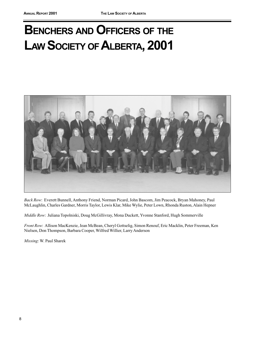# **BENCHERS AND OFFICERS OF THE LAW SOCIETY OF ALBERTA, 2001**



*Back Row*: Everett Bunnell, Anthony Friend, Norman Picard, John Bascom, Jim Peacock, Bryan Mahoney, Paul McLaughlin, Charles Gardner, Morris Taylor, Lewis Klar, Mike Wylie, Peter Lown, Rhonda Ruston, Alain Hepner

*Middle Row*: Juliana Topolniski, Doug McGillivray, Mona Duckett, Yvonne Stanford, Hugh Sommerville

*Front Row*: Allison MacKenzie, Jean McBean, Cheryl Gottselig, Simon Renouf, Eric Macklin, Peter Freeman, Ken Nielsen, Don Thompson, Barbara Cooper, Wilfred Willier, Larry Anderson

*Missing*: W. Paul Sharek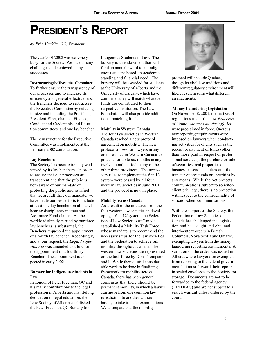### **PRESIDENT'S REPORT**

*by Eric Macklin, QC, President*

The year 2001/2002 was extremely busy for the Society. We faced many challenges and achieved many successes.

#### **Restructuring the Executive Committee**

To further ensure the transparency of our processes and to increase its efficiency and general effectiveness, the Benchers decided to restructure the Executive Committee by reducing its size and including the President, President-Elect, chairs of Finance, Conduct and Credentials and Education committees, and one lay bencher.

The new structure for the Executive Committee was implemented at the February 2002 convocation.

#### **Lay Benchers**

The Society has been extremely wellserved by its lay benchers. In order to ensure that our processes are transparent and that the public is both aware of our mandate of protecting the public and satisfied that we are fulfilling our mandate, we have made our best efforts to include at least one lay bencher on all panels hearing disciplinary matters and Assurance Fund claims. As the workload already carried by our three lay benchers is substantial, the Benchers requested the appointment of a fourth lay bencher. Accordingly, and at our request, the *Legal Profession Act* was amended to allow for the appointment of a fourth lay Bencher. The appointment is expected in early 2002.

#### **Bursary for Indigenous Students in Law**

In honour of Peter Freeman, QC and his many contributions to the legal profession in Alberta and his lifelong dedication to legal education, the Law Society of Alberta established the Peter Freeman, QC Bursary for

Indigenous Students in Law. The bursary is an endowment that will fund an annual award to an indigenous student based on academic standing and financial need. The bursary will be awarded for students at the University of Alberta and the University of Calgary, which have confirmed they will match whatever funds are contributed to their respective institution. The Law Foundation will also provide additional matching funds.

#### **Mobility in Western Canada**

The four law societies in Western Canada reached a new protocol agreement on mobility. The new protocol allows for lawyers in any one province in Western Canada to practise for up to six months in any twelve month period in any of the other three provinces. The necessary rules to implement the '6 in 12' system were passed by all four western law societies in June 2001 and the protocol is now in place.

#### **Mobility Across Canada**

As a result of the initiative from the four western law societies in developing a '6 in 12' system, the Federation of Law Societies of Canada established a Mobility Task Force whose mandate is to recommend the necessary steps for the law societies and the Federation to achieve full mobility throughout Canada. The western law societies are represented on the task force by Don Thompson and I. While there is still considerable work to be done in finalizing a framework for mobility across Canada, there has been general consensus that there should be permanent mobility, in which a lawyer can move from one common law jurisdiction to another without having to take transfer examinations. We anticipate that the mobility



protocol will include Quebec, although its civil law traditions and different regulatory environment will likely result in somewhat different arrangements.

#### **Money Laundering Legislation**

On November 8, 2001, the first set of regulations under the new *Proceeds of Crime (Money Laundering) Act* were proclaimed in force. Onerous new reporting requirements were imposed on lawyers when conducting activities for clients such as the receipt or payment of funds (other than those paid in respect of professional services), the purchase or sale of securities, real properties or business assets or entities and the transfer of any funds or securities by any means. While the Act protects communications subject to solicitor/ client privilege, there is no protection with respect to the confidentiality of solicitor/client communications.

With the support of the Society, the Federation of Law Societies of Canada has challenged the legislation and has sought and obtained interlocutory orders in British Columbia, Nova Scotia and Ontario, exempting lawyers from the money laundering reporting requirements. A variation on the order was issued in Alberta where lawyers are exempted from reporting to the federal government but must forward their reports in sealed envelopes to the Society for storage. Documents are not to be forwarded to the federal agency (FINTRAC) and are not subject to a search warrant unless ordered by the court.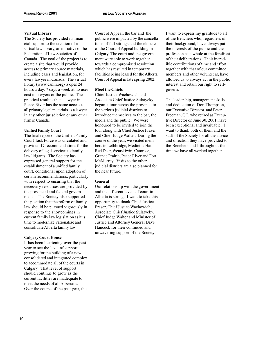#### **Virtual Library**

The Society has provided its financial support to the creation of a virtual law library, an initiative of the Federation of Law Societies of Canada. The goal of the project is to create a site that would provide access to primary source materials, including cases and legislation, for every lawyer in Canada. The virtual library (www.canlii.org) is open 24 hours a day, 7 days a week at no user cost to lawyers or the public. The practical result is that a lawyer in Peace River has the same access to all primary legal materials as a lawyer in any other jurisdiction or any other firm in Canada.

#### **Unified Family Court**

The final report of the Unified Family Court Task Force was circulated and provided 17 recommendations for the delivery of legal services to family law litigants. The Society has expressed general support for the establishment of a unified family court, conditional upon adoption of certain recommendations, particularly with respect to ensuring that the necessary resources are provided by the provincial and federal governments. The Society also supported the position that the reform of family law should be pursued vigorously in response to the shortcomings in current family law legislation as it is time to modernize, rationalize and consolidate Alberta family law.

#### **Calgary Court House**

It has been heartening over the past year to see the level of support growing for the building of a new consolidated and integrated complex to accommodate all of the courts in Calgary. That level of support should continue to grow as the current facilities are inadequate to meet the needs of all Albertans. Over the course of the past year, the

Court of Appeal, the bar and the public were impacted by the cancellations of fall sittings and the closure of the Court of Appeal building in Calgary. The court and the government were able to work together towards a compromised resolution which has resulted in temporary facilities being leased for the Alberta Court of Appeal in late spring 2002.

#### **Meet the Chiefs**

Chief Justice Wachowich and Associate Chief Justice Sulatycky began a tour across the province to the various judicial districts to introduce themselves to the bar, the media and the public. We were honoured to be invited to join the tour along with Chief Justice Fraser and Chief Judge Walter. During the course of the year, we visited members in Lethbridge, Medicine Hat, Red Deer, Wetaskiwin, Camrose, Grande Prairie, Peace River and Fort McMurray. Visits to the other judicial districts are also planned for the near future.

#### **General**

Our relationship with the government and the different levels of court in Alberta is strong. I want to take this opportunity to thank Chief Justice Fraser, Chief Justice Wachowich, Associate Chief Justice Sulatycky, Chief Judge Walter and Minister of Justice and Attorney General Dave Hancock for their continued and unwavering support of the Society.

I want to express my gratitude to all of the Benchers who, regardless of their background, have always put the interests of the public and the profession as a whole at the forefront of their deliberations. Their incredible contributions of time and effort, together with that of our committee members and other volunteers, have allowed us to always act in the public interest and retain our right to selfgovern.

The leadership, management skills and dedication of Don Thompson, our Executive Director, and Peter Freeman, QC, who retired as Executive Director on June 30, 2001, have been exceptional and invaluable. I want to thank both of them and the staff of the Society for all the advice and direction they have provided to the Benchers and I throughout the time we have all worked together.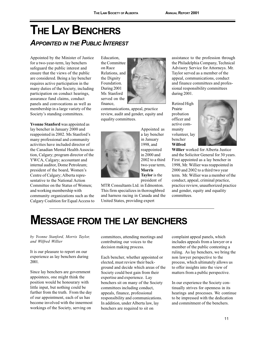### **THE LAY BENCHERS** *APPOINTED IN THE PUBLIC INTEREST*

Appointed by the Minister of Justice for a two-year-term, lay benchers safeguard the public interest and ensure that the views of the public are considered. Being a lay bencher requires active participation in the many duties of the Society, including participation on conduct hearings, assurance fund claims, conduct panels and convocations as well as membership in a large variety of the Society's standing committees.

**Yvonne Stanford** was appointed as lay bencher in January 2000 and reappointed in 2002. Ms Stanford's many professional and community activities have included director of the Canadian Mental Health Association, Calgary; program director of the YWCA, Calgary; accountant and internal auditor, Dome Petroleum; president of the board, Women's Centre of Calgary; Alberta representative to the National Action Committee on the Status of Women; and working membership with community organizations such as the Calgary Coalition for Equal Access to Education, the Committee on Race Relations, and the Dignity Foundation. During 2001 Ms Stanford served on the finance,



communications, appeal, practice review, audit and gender, equity and equality committees.



Appointed as a lay bencher in January 1998, and reappointed in 2000 and 2002 to a third two-year term, **Morris Taylor** is the president of

MTR Consultants Ltd. in Edmonton. This firm specializes in thoroughbred and harness racing in Canada and the United States, providing expert

assistance to the profession through the Philadelphia Company, Technical Advisory Service for Attorneys. Mr. Taylor served as a member of the appeal, communications, conduct and finance committees and professional responsibility committees during 2001.

Retired High Prairie probation officer and active community volunteer, lay bencher **Wilfred**



**Willier** worked for Alberta Justice and the Solicitor General for 30 years. First appointed as a lay bencher in 1998, Mr. Willier was reappointed in 2000 and 2002 to a third two year term. Mr. Willier was a member of the conduct, appeal, criminal practice, practice review, unauthorized practice and gender, equity and equality committees.

### **MESSAGE FROM THE LAY BENCHERS**

#### *by Yvonne Stanford, Morris Taylor, and Wilfred Willier*

It is our pleasure to report on our experience as lay benchers during 2001.

Since lay benchers are government appointees, one might think the position would be honourary with little input, but nothing could be further from the truth. From the day of our appointment, each of us has become involved with the innermost workings of the Society, serving on

committees, attending meetings and contributing our voices to the decision making process.

Each bencher, whether appointed or elected, must review their background and decide which areas of the Society could best gain from their expertise and experience. Lay benchers sit on many of the Society committees including conduct, appeals, finance, professional responsibility and communications. In addition, under Alberta law, lay benchers are required to sit on

complaint appeal panels, which includes appeals from a lawyer or a member of the public contesting a ruling. As lay benchers, we bring the non lawyer perspective to the process, which ultimately allows us to offer insights into the view of matters from a public perspective.

In our experience the Society continually strives for openness in its hearings and processes. We continue to be impressed with the dedication and commitment of the benchers.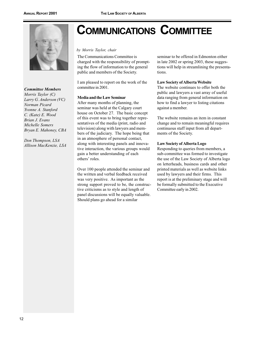

*Morris Taylor (C) Larry G. Anderson (VC) Norman Picard Yvonne A. Stanford C. (Kate) E. Wood Brian J. Evans Michelle Somers Bryan E. Mahoney, CBA*

*Don Thompson, LSA Allison MacKenzie, LSA*

# **COMMUNICATIONS COMMITTEE**

#### *by Morris Taylor, chair*

The Communications Committee is charged with the responsibility of prompting the flow of information to the general public and members of the Society.

I am pleased to report on the work of the committee in 2001.

#### **Media and the Law Seminar**

After many months of planning, the seminar was held at the Calgary court house on October 27. The basic concept of this event was to bring together representatives of the media (print, radio and television) along with lawyers and members of the judiciary. The hope being that in an atmosphere of personal contact, along with interesting panels and innovative interaction, the various groups would gain a better understanding of each others' roles.

Over 100 people attended the seminar and the written and verbal feedback received was very positive. As important as the strong support proved to be, the constructive criticisms as to style and length of panel discussions will be equally valuable. Should plans go ahead for a similar

seminar to be offered in Edmonton either in late 2002 or spring 2003, these suggestions will help in streamlining the presentations.

#### **Law Society of Alberta Website**

The website continues to offer both the public and lawyers a vast array of useful data ranging from general information on how to find a lawyer to listing citations against a member.

The website remains an item in constant change and to remain meaningful requires continuous staff input from all departments of the Society.

#### **Law Society of Alberta Logo**

Responding to queries from members, a sub-committee was formed to investigate the use of the Law Society of Alberta logo on letterheads, business cards and other printed materials as well as website links used by lawyers and their firms. This report is at the preliminary stage and will be formally submitted to the Executive Committee early in 2002.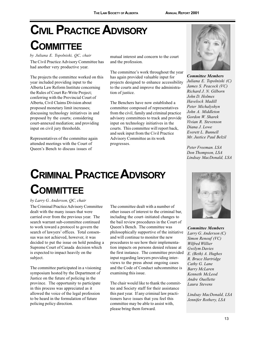# **CIVIL PRACTICE ADVISORY COMMITTEE**

The Civil Practice Advisory Committee has had another very productive year. *by Juliana E. Topolniski, QC, chair*

The projects the committee worked on this year included providing input to the Alberta Law Reform Institute concerning the Rules of Court Re-Write Project; conferring with the Provincial Court of Alberta, Civil Claims Division about proposed monetary limit increases; discussing technology initiatives in and proposed by the courts; considering court-annexed mediation; and providing input on civil jury thresholds.

Representatives of the committee again attended meetings with the Court of Queen's Bench to discuss issues of

mutual interest and concern to the court and the profession.

The committee's work throughout the year has again provided valuable input for projects designed to enhance accessibility to the courts and improve the administration of justice.

The Benchers have now established a committee composed of representatives from the civil, family and criminal practice advisory committees to track and provide input on technology initiatives in the courts. This committee will report back, and seek input from the Civil Practice Advisory Committee as its work progresses.



*Committee Members Juliana E. Topolniski (C) James S. Peacock (VC) Richard J. N. Gilborn John D. Holmes Havelock Madill Peter Michalyshyn John A. Middleton Gordon W. Sharek Vivian R. Stevenson Diana J. Lowe Everett L. Bunnell Mr. Justice Paul Belzil*

*Peter Freeman. LSA Don Thompson, LSA Lindsay MacDonald, LSA*

# **CRIMINAL PRACTICE ADVISORY COMMITTEE**

#### *by Larry G. Anderson, QC, chair*

The Criminal Practice Advisory Committee dealt with the many issues that were carried over from the previous year. The search warrant sub-committee continued to work toward a protocol to govern the search of lawyers' offices. Total consensus was not achieved, however, it was decided to put the issue on hold pending a Supreme Court of Canada decision which is expected to impact heavily on the subject.

The committee participated in a visioning symposium hosted by the Department of Justice on the future of policing in the province. The opportunity to participate in this process was appreciated as it allowed the voice of the legal profession to be heard in the formulation of future policing policy direction.

The committee dealt with a number of other issues of interest to the criminal bar, including the court–initiated changes to the bail review procedures in the Court of Queen's Bench. The committee was philosophically supportive of the initiative and will continue to monitor the new procedures to see how their implementation impacts on persons denied release at the first instance. The committee provided input regarding lawyers providing interviews to the press about ongoing cases and the Code of Conduct subcommittee is examining this issue.

The chair would like to thank the committee and Society staff for their assistance this past year. If any criminal law practitioners have issues that you feel this committee may be able to assist with, please bring them forward.



*Committee Members Larry G. Anderson (C) Simon Renouf (VC) Wilfred Willier Gwilym Davies E. (Beth) A. Hughes R. Bruce Hartridge Cathy G. Lane Barry McLaren Kenneth McLeod Andre Ouellette Laura Stevens*

*Lindsay MacDonald, LSA Jennifer Rothery, LSA*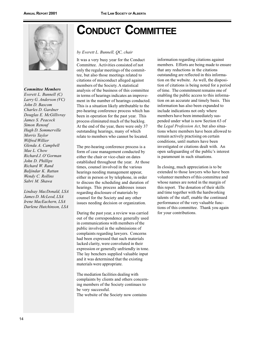

*Everett L. Bunnell (C) Larry G. Anderson (VC) John D. Bascom Charles D. Gardner Douglas E. McGillivray James S. Peacock Simon Renouf Hugh D. Sommerville Morris Taylor Wilfred Willier Glenda A. Campbell Mae L. Chow Richard J. O'Gorman John D. Phillips Richard W. Rand Baljindar K. Rattan Wendy C. Rollins Sabri M. Shawa*

*Lindsay MacDonald, LSA James D. McLeod, LSA Irene MacEachern, LSA Darlene Hutchinson, LSA*

### **CONDUCT COMMITTEE**

#### *by Everett L. Bunnell, QC, chair*

It was a very busy year for the Conduct Committee. Activities consisted of not only the regular meetings of the committee, but also those meetings related to citations of misconduct alleged against members of the Society. A statistical analysis of the business of this committee in terms of hearings indicates an improvement in the number of hearings conducted. This is a situation likely attributable to the pre-hearing conference process which has been in operation for the past year. This process eliminated much of the backlog. At the end of the year, there were only 37 outstanding hearings, many of which relate to members who cannot be located.

The pre-hearing conference process is a form of case management conducted by either the chair or vice-chair on dates established throughout the year. At those times, counsel involved in the various hearings needing management appear, either in person or by telephone, in order to discuss the scheduling and duration of hearings. This process addresses issues regarding disclosure of materials by counsel for the Society and any other issues needing decision or organization.

During the past year, a review was carried out of the correspondence generally used in communications with members of the public involved in the submissions of complaints regarding lawyers. Concerns had been expressed that such materials lacked clarity, were convoluted in their expression or generally unfriendly in tone. The lay benchers supplied valuable input and it was determined that the existing materials were appropriate.

The mediation facilities dealing with complaints by clients and others concerning members of the Society continues to be very successful. The website of the Society now contains

information regarding citations against members. Efforts are being made to ensure that any reductions in the citations outstanding are reflected in this information on the website. As well, the disposition of citations is being noted for a period of time. The commitment remains one of enabling the public access to this information on an accurate and timely basis. This information has also been expanded to include indications not only where members have been immediately suspended under what is now Section 63 of the *Legal Profession Act*, but also situations where members have been allowed to remain actively practising on certain conditions, until matters have been investigated or citations dealt with. An open safeguarding of the public's interest is paramount in such situations.

In closing, much appreciation is to be extended to those lawyers who have been volunteer members of this committee and whose names are noted in the margin of this report. The donation of their skills and time together with the hardworking talents of the staff, enable the continued performance of the very valuable functions of this committee. Thank you again for your contributions.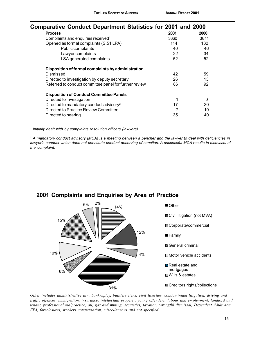| <b>Comparative Conduct Department Statistics for 2001 and 2000</b> |      |      |
|--------------------------------------------------------------------|------|------|
| <b>Process</b>                                                     | 2001 | 2000 |
| Complaints and enquiries received <sup>1</sup>                     | 3360 | 3811 |
| Opened as formal complaints (S.51 LPA)                             | 114  | 132  |
| Public complaints                                                  | 40   | 46   |
| Lawyer complaints                                                  | 22   | 34   |
| LSA generated complaints                                           | 52   | 52   |
| Disposition of formal complaints by administration                 |      |      |
| Dismissed                                                          | 42   | 59   |
| Directed to investigation by deputy secretary                      | 26   | 13   |
| Referred to conduct committee panel for further review             | 86   | 92   |
| <b>Disposition of Conduct Committee Panels</b>                     |      |      |
| Directed to investigation                                          | 1    | 0    |
| Directed to mandatory conduct advisory <sup>2</sup>                | 17   | 30   |
| Directed to Practice Review Committee                              |      | 19   |
| Directed to hearing                                                | 35   | 40   |

*1 Initially dealt with by complaints resolution officers (lawyers)*

*2 A mandatory conduct advisory (MCA) is a meeting between a bencher and the lawyer to deal with deficiencies in lawyer's conduct which does not constitute conduct deserving of sanction. A successful MCA results in dismissal of the complaint.*



**2001 Complaints and Enquiries by Area of Practice**

*Other includes administrative law, bankruptcy, builders liens, civil liberties, condominium litigation, driving and traffic offences, immigration, insurance, intellectual property, young offenders, labour and employment, landlord and tenant, professional malpractice, oil, gas and mining, securities, taxation, wrongful dismissal, Dependent Adult Act/ EPA, foreclosures, workers compensation, miscellaneous and not specified.*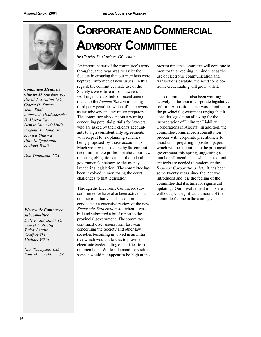

*Charles D. Gardner (C) David J. Stratton (VC) Clarke D. Barnes Scott Bodie Andrew J. Hladyshevsky H. Martin Kay Denise Dunn McMullen Bogumil F. Romanko Monica Sharma Dale R. Spackman Michael Whitt*

*Don Thompson, LSA*

#### *Electronic Commerce subcommittee*

*Dale R. Spackman (C) Cheryl Gottselig Tudor Beattie Geoffrey Ho Michael Whitt*

*Don Thompson, LSA Paul McLaughlin, LSA*

# **CORPORATE AND COMMERCIAL ADVISORY COMMITTEE**

*by Charles D. Gardner, QC, chair*

An important part of the committee's work throughout the year was to assist the Society in ensuring that our members were kept well informed of new issues. In this regard, the committee made use of the Society's website to inform lawyers working in the tax field of recent amendments to the *Income Tax Act* imposing third party penalties which affect lawyers as tax advisors and tax return preparers. The committee also sent out a warning concerning potential pitfalls for lawyers who are asked by their client's accountants to sign confidentiality agreements with respect to tax planning schemes being proposed by those accountants. Much work was also done by the committee to inform the profession about our new reporting obligations under the federal government's changes to the money laundering legislation. The committee has been involved in monitoring the court challenges to that legislation.

Through the Electronic Commerce subcommittee we have also been active in a number of initiatives. The committee conducted an extensive review of the new *Electronic Transaction Act* when it was a bill and submitted a brief report to the provincial government. The committee continued discussions from last year concerning the Society and other law societies becoming involved in an initiative which would allow us to provide electronic credentialing or certification of our members. While a demand for such a service would not appear to be high at the present time the committee will continue to monitor this, keeping in mind that as the use of electronic communication and transactions escalate, the need for electronic credentialing will grow with it.

The committee has also been working actively in the area of corporate legislative reform. A position paper was submitted to the provincial government urging that it consider legislation allowing for the incorporation of Unlimited Liability Corporations in Alberta. In addition, the committee commenced a consultation process with corporate practitioners to assist us in preparing a position paper, which will be submitted to the provincial government this spring, suggesting a number of amendments which the committee feels are needed to modernize the *Business Corporations Act.* It has been some twenty years since the Act was introduced and it is the feeling of the committee that it is time for significant updating. Our involvement in this area will occupy a significant amount of the committee's time in the coming year.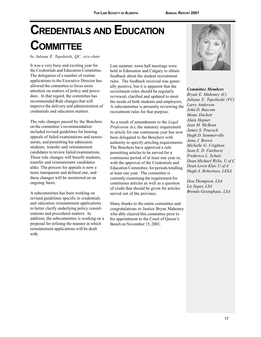# **CREDENTIALS AND EDUCATION COMMITTEE**

*by Juliana E. Topolniski, QC, vice-chair*

It was a very busy and exciting year for the Credentials and Education Committee. The delegation of a number of routine applications to the Executive Director has allowed the committee to focus more attention on matters of policy and procedure. In that regard, the committee has recommended Rule changes that will improve the delivery and administration of credentials and education matters.

The rule changes passed by the Benchers on the committee's recommendation included revised guidelines for hearing appeals of failed examinations and assessments, and permitting bar admission students, transfer and reinstatement candidates to review failed examinations. These rule changes will benefit students, transfer and reinstatement candidates alike. The process for appeals is now a more transparent and defined one, and these changes will be monitored on an ongoing basis.

A subcommittee has been working on revised guidelines specific to credentials and education reinstatement applications to better clarify underlying policy considerations and procedural matters. In addition, the subcommittee is working on a proposal for refining the manner in which reinstatement applications will be dealt with.

Last summer, town hall meetings were held in Edmonton and Calgary to obtain feedback about the student recruitment rules. The feedback received was generally positive, but it is apparent that the recruitment rules should be regularly reviewed, clarified and updated to meet the needs of both students and employers. A subcommittee is presently reviewing the recruitment rules for that purpose.

As a result of amendments to the *Legal Profession Act*, the statutory requirement to article for one continuous year has now been delegated to the Benchers with authority to specify articling requirements. The Benchers have approved a rule permitting articles to be served for a continuous period of at least one year or, with the approval of the Credentials and Education Committee, for periods totalling at least one year. The committee is currently examining the requirement for continuous articles as well as a question of credit that should be given for articles served out of the province.

Many thanks to the entire committee and congratulations to Justice Bryan Mahoney who ably chaired this committee prior to his appointment to the Court of Queen's Bench on November 15, 2001.



*Committee Members Bryan E. Mahoney (C) Juliana E. Topolniski (VC) Larry Anderson John D. Bascom Mona Duckett Alain Hepner Jean M. McBean James S. Peacock Hugh D. Sommerville Anne J. Brown Michelle G. Crighton Sean E. D. Fairhurst Frederica L. Schutz Dean Michael Wylie, U of C Dean Lewis Klar, U of A Hugh A. Robertson, LESA*

*Don Thompson, LSA Liz Soper, LSA Brenda Gesinghaus, LSA*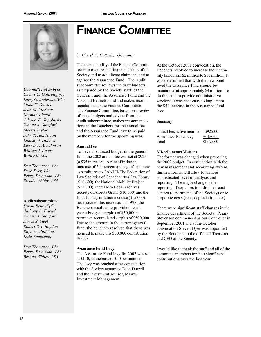

*Cheryl C. Gottselig (C) Larry G. Anderson (VC) Mona T. Duckett Jean M. McBean Norman Picard Juliana E. Topolniski Yvonne A. Stanford Morris Taylor John T. Henderson Lindsay J. Holmes Lawrence A. Johnson William J. Kenny Walter K. Mis*

*Don Thompson, LSA Steve Dyer, LSA Peggy Stevenson, LSA Brenda Whitby, LSA*

#### **Audit subcommittee**

*Simon Renouf (C) Anthony L. Friend Yvonne A. Stanford James S. Steel Robert V. T. Boydon Raylene Palichuk Dale Spackman*

*Don Thompson, LSA Peggy Stevenson, LSA Brenda Whitby, LSA*

### **FINANCE COMMITTEE**

#### *by Cheryl C. Gottselig, QC, chair*

The responsibility of the Finance Committee is to oversee the financial affairs of the Society and to adjudicate claims that arise against the Assurance Fund. The Audit subcommittee reviews the draft budgets, as prepared by the Society staff, of the General Fund, the Assurance Fund and the Viscount Bennett Fund and makes recommendations to the Finance Committee. The Finance Committee, based on a review of these budgets and advice from the Audit subcommittee, makes recommendations to the Benchers for the annual fee and the Assurance Fund levy to be paid by the members for the upcoming year.

#### **Annual Fee**

To have a balanced budget in the general fund, the 2002 annual fee was set at \$925 (a \$35 increase). A rate of inflation increase of 2.9 percent and significant new expenditures to CANLII-The Federation of Law Societies of Canada virtual law library (\$16,600), the National Mobility Project (\$15,700), increase to Legal Archives Society of Alberta Grant (\$10,000) and the Joint Library inflation increase (\$15,000) necessitated this increase. In 1998, the Benchers resolved to provide in each year's budget a surplus of \$50,000 to permit an accumulated surplus of \$500,000. Due to the amount in the current general fund, the benchers resolved that there was no need to make this \$50,000 contribution in 2002.

#### **Assurance Fund Levy**

The Assurance Fund levy for 2002 was set at \$150, an increase of \$50 per member. The levy was reached after consultation with the Society actuaries, Dion Durrell and the investment advisor, Mawer Investment Management.

At the October 2001 convocation, the Benchers resolved to increase the indemnity bond from \$2 million to \$10 million. It was determined that with the new bond level the assurance fund should be maintained at approximately \$4 million. To do this, and to provide administrative services, it was necessary to implement the \$54 increase in the Assurance Fund levy.

Summary

| annual fee, active member | \$925.00   |
|---------------------------|------------|
| Assurance Fund levy       | $+150.00$  |
| Total                     | \$1,075.00 |

#### **Miscellaneous Matters**

The format was changed when preparing the 2002 budget. In conjunction with the new management and accounting system, this new format will allow for a more sophisticated level of analysis and reporting. The major change is the reporting of expenses to individual cost centres (departments of the Society) or to corporate costs (rent, depreciation, etc.).

There were significant staff changes in the finance department of the Society. Peggy Stevenson commenced as our Controller in September 2001 and at the October convocation Steven Dyer was appointed by the Benchers to the office of Treasurer and CFO of the Society.

I would like to thank the staff and all of the committee members for their significant contributions over the last year.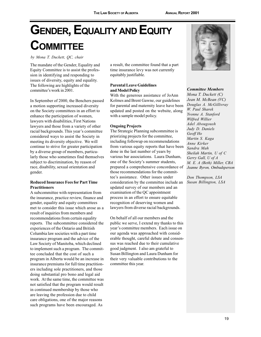# **GENDER, EQUALITY AND EQUITY COMMITTEE**

*by Mona T. Duckett, QC, chair*

The mandate of the Gender, Equality and Equity Committee is to assist the profession in identifying and responding to issues of diversity, equity and equality. The following are highlights of the committee's work in 2001.

In September of 2000, the Benchers passed a motion supporting increased diversity on the Society committees in an effort to enhance the participation of women, lawyers with disabilities, First Nations lawyers and those from a variety of other racial backgrounds. This year's committee considered ways to assist the Society in meeting its diversity objective. We will continue to strive for greater participation by a diverse group of members, particularly those who sometimes find themselves subject to discrimination, by reason of race, disability, sexual orientation and gender.

#### **Reduced Insurance Fees for Part Time Practitioners**

A subcommittee with representation from the insurance, practice review, finance and gender, equality and equity committees met to consider this issue which arose as a result of inquiries from members and recommendations from certain equality reports. The subcommittee considered the experiences of the Ontario and British Columbia law societies with a part time insurance program and the advice of the Law Society of Manitoba, which declined to implement such a program. The committee concluded that the cost of such a program in Alberta would be an increase in insurance premiums for full time practitioners including sole practitioners, and those doing substantial pro bono and legal aid work. At the same time, the committee was not satisfied that the program would result in continued membership by those who are leaving the profession due to child care obligations, one of the major reasons such programs have been encouraged. As

a result, the committee found that a part time insurance levy was not currently equitably justifiable.

#### **Parental Leave Guidelines and Model Policy**

With the generous assistance of JoAnn Kolmes and Brent Gawne, our guidelines for parental and maternity leave have been updated and posted on the website, along with a sample model policy.

#### **Ongoing Projects**

The Strategic Planning subcommittee is priorizing projects for the committee, including followup on recommendations from various equity reports that have been done in the last number of years by various bar associations. Laura Dunham, one of the Society's summer students, prepared a comprehensive concordance of those recommendations for the committee's assistance. Other issues under consideration by the committee include an updated survey of our members and an examination of the QC appointment process in an effort to ensure equitable recognition of deserving women and lawyers from diverse racial backgrounds.

On behalf of all our members and the public we serve, I extend my thanks to this year's committee members. Each issue on our agenda was approached with considerable thought, careful debate and consensus was reached due to their cumulative good judgment. I also am grateful to Susan Billington and Laura Dunham for their very valuable contributions to the committee this year.



#### *Committee Members*

*Mona T. Duckett (C) Jean M. McBean (VC) Douglas A. McGillivray W. Paul Sharek Yvonne A. Stanford Wilfred Willier Adel Abougoush Judy D. Daniels Geoff Ho Martin S. Kaga Anne Kirker Sandra Mah Sheilah Martin, U of C Gerry Gall, U of A M. E. A (Beth) Miller, CBA Jeanne Byron, Ombudsperson*

*Don Thompson, LSA Susan Billington, LSA*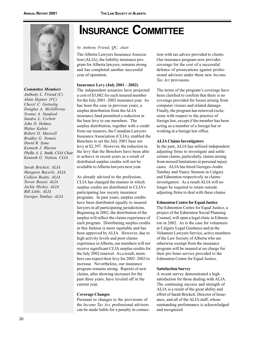

*Anthony L. Friend (C) Alain Hepner (VC) Cheryl C. Gottselig Douglas A. McGillivray Yvonne A. Stanford Sandra L. Corbett John D. Holmes Walter Kubitz Robert D. Maxwell Bradley G. Nemetz David R. Syme Kenneth J. Warren Phyllis A. L. Smith, CLIA Chair Kenneth G. Nielsen, CLIA*

*Sarah Brickett, ALIA Margaret Bayerle, ALIA Colleen Beatty, ALIA Trevor Bozzer, ALIA Jackie Hickey, ALIA Bill Little, ALIA Georges Tambay, ALIA*

### **INSURANCE COMMITTEE**

#### *by Anthony Friend, QC, chair*

The Alberta Lawyers Insurance Association (ALIA), the liability insurance program for Alberta lawyers, remains strong and has completed another successful year of operation.

#### **Insurance Levy (July 2001 – 2002)**

The independent actuaries have projected a cost of \$3,082 for each insured member for the July 2001–2002 insurance year. As has been the case in previous years, a surplus distribution from the ALIA insurance fund permitted a reduction in the base levy to our members. The surplus distribution, together with a credit from our insurers, the Canadian Lawyers Insurance Association (CLIA), enabled the Benchers to set the July 2001 base net levy at \$2,397. However, the reduction in the levy that the Benchers have been able to achieve in recent years as a result of distributed surplus credits will not be available to Alberta lawyers next year.

As already advised to the profession, CLIA has changed the manner in which surplus credits are distributed to CLIA's participating law society insurance programs. In past years, surplus credits have been distributed equally to insured lawyers in all participating jurisdictions. Beginning in 2002, the distribution of the surplus will reflect the claims experience of each program. Distributing surplus credits in this fashion is more equitable and has been approved by ALIA. However, due to high activity levels and poor claims experience in Alberta, our members will not receive significant CLIA surplus credits for the July 2002 renewal. As a result, members can expect their levy for 2002–2003 to increase. Nevertheless, our insurance program remains strong. Reports of new claims, after showing increases for the past three years, have leveled off in the current year.

#### **Coverage Changes**

Pursuant to changes to the provisions of the *Income Tax Act,* professional advisors can be made liable for a penalty in connection with tax advice provided to clients. Our insurance program now provides coverage for the cost of a successful defence of prosecutions against professional advisors under these new *Income Tax Act* provisions.

The terms of the program's coverage have been clarified to confirm that there is no coverage provided for losses arising from computer viruses and related damage. Finally, the program has removed exclusions with respect to the practice of foreign law, except if the member has been acting as a member of a foreign bar or working in a foreign law office.

#### **ALIA Claims Investigators**

In the past, ALIA has utilized independent adjusting firms to investigate and settle certain claims, particularly, claims arising from missed limitations in personal injury cases. ALIA has hired Georges-Andre Tambay and Nancy Stenson in Calgary and Edmonton respectively as claims investigators. As a result ALIA will no longer be required to retain outside adjusting firms to deal with these claims.

#### **Edmonton Centre for Equal Justice**

The Edmonton Centre for Equal Justice, a project of the Edmonton Social Planning Counsel, will open a legal clinic in Edmonton in 2002. As is the case for volunteers at Calgary Legal Guidance and at the Volunteer Lawyers Service, active members of the Law Society of Alberta who are otherwise exempt from the insurance program will be insured at no charge for their pro bono service provided to the Edmonton Centre for Equal Justice.

#### **Satisfaction Survey**

A recent survey demonstrated a high satisfaction for those dealing with ALIA. The continuing success and strength of ALIA is a result of the great ability and effort of Sarah Brickett, Director of Insurance, and all of the ALIA staff, whose outstanding performance is acknowledged and recognized.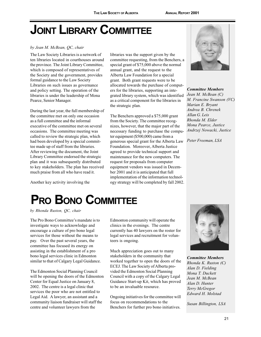### **JOINT LIBRARY COMMITTEE**

#### *by Jean M. McBean, QC, chair*

The Law Society Libraries is a network of ten libraries located in courthouses around the province. The Joint Library Committee, which is composed of representatives of the Society and the government, provides formal guidance to the Law Society Libraries on such issues as governance and policy setting. The operation of the libraries is under the leadership of Mona Pearce, Senior Manager.

During the last year, the full membership of the committee met on only one occasion as a full committee and the informal executive of the committee met on several occasions. The committee meeting was called to review the strategic plan, which had been developed by a special committee made up of staff from the libraries. After reviewing the document, the Joint Library Committee endorsed the strategic plan and it was subsequently distributed to key stakeholders. The plan has received much praise from all who have read it.

Another key activity involving the

libraries was the support given by the committee requesting, from the Benchers, a special grant of \$75,000 above the normal annual grant, and the request to the Alberta Law Foundation for a special grant. Both grant requests were to be allocated towards the purchase of computers for the libraries, supporting an integrated library system, which was identified as a critical component for the libraries in the strategic plan.

The Benchers approved a \$75,000 grant from the Society. The committee recognizes, however, that the major part of the necessary funding to purchase the computer equipment (\$500,000) came from a generous special grant for the Alberta Law Foundation. Moreover, Alberta Justice agreed to provide technical support and maintenance for the new computers. The request for proposals from computer equipment vendors was issued in December 2001 and it is anticipated that full implementation of the information technology strategy will be completed by fall 2002.



*Committee Members Jean M. McBean (C) M. Francine Swanson (VC) Marian E. Bryant Andrea B. Chrenek Allan G. Leis Rhonda M. Elder Mona Pearce, Justice Andrzej Nowacki, Justice*

*Peter Freeman, LSA*

# **PRO BONO COMMITTEE**

*by Rhonda Ruston, QC, chair*

The Pro Bono Committee's mandate is to investigate ways to acknowledge and encourage a culture of pro bono legal services for those without the means to pay. Over the past several years, the committee has focused its energy on assisting in the establishment of a pro bono legal services clinic in Edmonton similar to that of Calgary Legal Guidance.

The Edmonton Social Planning Council will be opening the doors of the Edmonton Center for Equal Justice on January 8, 2002. The centre is a legal clinic that services the poor who are not entitled to Legal Aid. A lawyer, an assistant and a community liaison fundraiser will staff the centre and volunteer lawyers from the

Edmonton community will operate the clinics in the evenings. The centre currently has 40 lawyers on the roster for legal services and recruitment for volunteers is ongoing.

Much appreciation goes out to many stakeholders in the community that worked together to open the doors of the ECEJ. The Law Society of Alberta provided the Edmonton Social Planning Council with a copy of the Calgary Legal Guidance Start-up Kit, which has proved to be an invaluable resource.

Ongoing initiatives for the committee will focus on recommendations to the Benchers for further pro bono initiatives.



*Committee Members Rhonda K. Ruston (C) Alan D. Fielding Mona T. Duckett Jean M. McBean Alan D. Hunter Terry McGregor Edward H. Molstad*

*Susan Billington, LSA*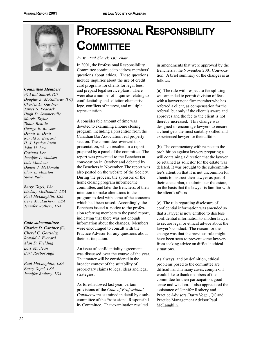

*W. Paul Sharek (C) Douglas A. McGillivray (VC) Charles D. Gardner James S. Peacock Hugh D. Sommerville Morris Taylor Tudor Beattie George E. Bowker Dennis B. Denis Ronald J. Everard H. J. Lyndon Irwin John M. Law Corinna Lee Jennifer L. Madsen Lois MacLean Daniel J. McDonald Blair L. Maxston Steve Raby*

*Barry Vogel, LSA Lindsay McDonald, LSA Paul McLaughlin, LSA Irene MacEachern, LSA Jennifer Rothery, LSA*

#### *Code subcommittee*

*Charles D. Gardner (C) Cheryl C. Gottselig Ronald J. Everard Alan D. Fielding Lois Maclean Bart Rosborough*

*Paul McLaughlin, LSA Barry Vogel, LSA Jennifer Rothery, LSA*

# **PROFESSIONAL RESPONSIBILITY COMMITTEE**

#### *by W. Paul Sharek, QC, chair*

In 2001, the Professional Responsibility Committee continued to address members' questions about ethics. These questions include inquiries about the use of credit card programs for clients for legal fees, and prepaid legal service plans. There were also a number of inquiries relating to confidentiality and solicitor-client privilege, conflicts of interest, and multiple representation.

A considerable amount of time was devoted to examining a home closing program, including a presention from the Canadian Bar Association real property section. The committee reviewed this presentation, which resulted in a report prepared by a panel of the committee. The report was presented to the Benchers at convocation in October and debated by the Benchers in November. The report was also posted on the website of the Society. During the process, the sponsors of the home closing program informed the committee, and later the Benchers, of their intention to make alterations to the program to deal with some of the concerns which had been raised. Accordingly, the Benchers issued a notice to the profession referring members to the panel report, indicating that there was not enough information about the changes. Members were encouraged to consult with the Practice Advisor for any questions about their participation.

An issue of confidentiality agreements was discussed over the course of the year. That matter will be considered in the broader context of the suitability of proprietary claims to legal ideas and legal strategies.

As foreshadowed last year, certain provisions of the *Code of Professional Conduct* were examined in detail by a subcommittee of the Professional Responsibility Committee. That examination resulted

in amendments that were approved by the Benchers at the November 2001 Convocation. A brief summary of the changes is as follows:

(a) The rule with respect to fee splitting was amended to permit division of fees with a lawyer not a firm member who has referred a client, as compensation for the referral, but only if the client is aware and approves and the fee to the client is not thereby increased. This change was designed to encourage lawyers to ensure a client gets the most suitably skilled and experienced lawyer for their affairs.

(b) The commentary with respect to the prohibition against lawyers preparing a will containing a direction that the lawyer be retained as solicitor for the estate was deleted. It was brought to the subcommittee's attention that it is not uncommon for clients to instruct their lawyer as part of their estate plan, to administer the estate, on the basis that the lawyer is familiar with the client's affairs.

(c) The rule regarding disclosure of confidential information was amended so that a lawyer is now entitled to disclose confidential information to another lawyer to secure legal or ethical advice about the lawyer's conduct. The reason for the change was that the previous rule might have been seen to prevent some lawyers from seeking advice on difficult ethical situations.

As always, and by definition, ethical problems posed to the committee are difficult, and in many cases, complex. I would like to thank members of the committee for their participation, good sense and wisdom. I also appreciated the assistance of Jennifer Rothery and Practice Advisors, Barry Vogel, QC and Practice Management Advisor Paul McLaughlin.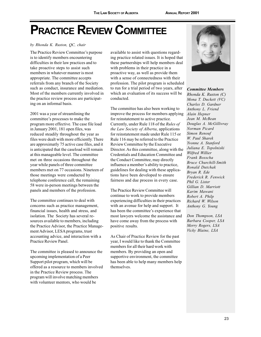### **PRACTICE REVIEW COMMITTEE**

#### *by Rhonda K. Ruston, QC, chair*

The Practice Review Committee's purpose is to identify members encountering difficulties in their law practices and to take proactive steps to assist such members in whatever manner is most appropriate. The committee accepts referrals from any branch of the Society such as conduct, insurance and mediation. Most of the members currently involved in the practice review process are participating on an informal basis.

2001 was a year of streamlining the committee's processes to make the program more effective. The case file load in January 2001, 181 open files, was reduced steadily throughout the year as files were dealt with more efficiently. There are approximatly 75 active case files, and it is anticipated that the caseload will remain at this manageable level. The committee met on three occasions throughout the year while panels of three committee members met on 77 occasions. Nineteen of those meetings were conducted by telephone conference call, the remaining 58 were in-person meetings between the panels and members of the profession.

The committee continues to deal with concerns such as practice management, financial issues, health and stress, and isolation. The Society has several resources available to members, including the Practice Advisor, the Practice Management Advisor, LESA programs, trust accounting advice, and interaction with a Practice Review Panel.

The committee is pleased to announce the upcoming implementation of a Peer Support pilot program, which will be offered as a resource to members involved in the Practice Review process. The program will involve matching members with volunteer mentors, who would be

available to assist with questions regarding practice related issues. It is hoped that these partnerships will help members deal with problems in their practice in a proactive way, as well as provide them with a sense of connectedness with their profession. The pilot program is scheduled to run for a trial period of two years, after which an evaluation of its success will be conducted.

The committee has also been working to improve the process for members applying for reinstatement to active practice. Currently, under Rule 118 of the *Rules of the Law Society of Alberta*, applications for reinstatement made under Rule 115 or Rule 116 may be referred to the Practice Review Committee by the Executive Director. As this committee, along with the Credentials and Education Committee and the Conduct Committee, may directly influence a member's ability to practice, guidelines for dealing with these applications have been developed to ensure fairness and due process in every case.

The Practice Review Committee will continue to work to provide members experiencing difficulties in their practices with an avenue for help and support. It has been the committee's experience that most lawyers welcome the assistance and have come away from the process with positive results.

As Chair of Practice Review for the past year, I would like to thank the Committee members for all their hard work with members. By providing an open and supportive environment, the committee has been able to help many members help themselves.



*Committee Members*

*Rhonda K. Ruston (C) Mona T. Duckett (VC) Charles D. Gardner Anthony L. Friend Alain Hepner Jean M. McBean Douglas A. McGillivray Norman Picard Simon Renouf W. Paul Sharek Yvonne A. Stanford Juliana E. Topolniski Wilfred Willier Frank Bosscha Bruce Churchill-Smith Ronald Dutchak Bryan R. Ede Frederick R. Fenwick Phil G. Lister Gillian D. Marriott Karim Mawani Robert A. Philp Richard W. Wilson Anthony G. Young*

*Don Thompson, LSA Barbara Cooper, LSA Merry Rogers, LSA Vicky Blaine, LSA*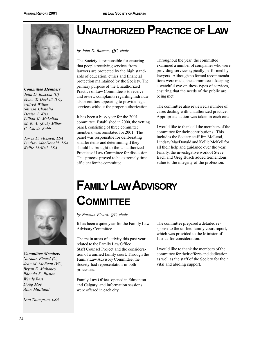

*John D. Bascom (C) Mona T. Duckett (VC) Wilfred Willier Shirish Chotalia Denise J. Kiss Lillian K. McLellan M. E. A. (Beth) Miller C. Calvin Robb*

*James D. McLeod, LSA Lindsay MacDonald, LSA Kellie McKeil, LSA*

### **UNAUTHORIZED PRACTICE OF LAW**

#### *by John D. Bascom, QC, chair*

The Society is responsible for ensuring that people receiving services from lawyers are protected by the high standards of education, ethics and financial protection maintained by the Society. The primary purpose of the Unauthorized Practice of Law Committee is to receive and review complaints regarding individuals or entities appearing to provide legal services without the proper authorization.

It has been a busy year for the 2001 committee. Established in 2000, the vetting panel, consisting of three committee members, was reinstated for 2001. The panel was responsible for deliberating smaller items and determining if they should be brought to the Unauthorized Practice of Law Committee for discussion. This process proved to be extremely time efficient for the committee.

Throughout the year, the committee examined a number of companies who were providing services typically performed by lawyers. Although no formal recommendations were made, the committee is keeping a watchful eye on these types of services, ensuring that the needs of the public are being met.

The committee also reviewed a number of cases dealing with unauthorized practice. Appropriate action was taken in each case.

I would like to thank all the members of the committee for their contributions. This includes the Society staff Jim McLeod, Lindsay MacDonald and Kellie McKeil for all their help and guidance over the year. Finally, the investigative work of Steve Bach and Greg Busch added tremendous value to the integrity of the profession.



### *Committee Members*

*Norman Picard (C) Jean M. McBean (VC) Bryan E. Mahoney Rhonda K. Ruston Wendy Best Doug Moe Alan Maitland*

*Don Thompson, LSA*

# **FAMILY LAW ADVISORY COMMITTEE**

*by Norman Picard, QC, chair*

It has been a quiet year for the Family Law Advisory Committee.

The main areas of activity this past year related to the Family Law Office Staff Counsel Project and the consideration of a unified family court. Through the Family Law Advisory Committee, the Society had representation in both processes.

Family Law Offices opened in Edmonton and Calgary, and information sessions were offered in each city.

The committee prepared a detailed response to the unified family court report, which was provided to the Minister of Justice for consideration.

I would like to thank the members of the committee for their efforts and dedication, as well as the staff of the Society for their vital and abiding support.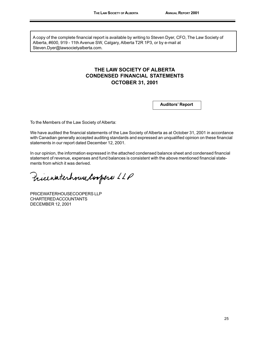A copy of the complete financial report is available by writing to Steven Dyer, CFO, The Law Society of Alberta, #600, 919 - 11th Avenue SW, Calgary, Alberta T2R 1P3, or by e-mail at Steven.Dyer@lawsocietyalberta.com.

### **THE LAW SOCIETY OF ALBERTA CONDENSED FINANCIAL STATEMENTS OCTOBER 31, 2001**

**Auditors' Report**

To the Members of the Law Society of Alberta:

We have audited the financial statements of the Law Society of Alberta as at October 31, 2001 in accordance with Canadian generally accepted auditing standards and expressed an unqualified opinion on these financial statements in our report dated December 12, 2001.

In our opinion, the information expressed in the attached condensed balance sheet and condensed financial statement of revenue, expenses and fund balances is consistent with the above mentioned financial statements from which it was derived.

Pricewaterhouse Coopers LLP

PRICEWATERHOUSECOOPERS LLP CHARTERED ACCOUNTANTS DECEMBER 12, 2001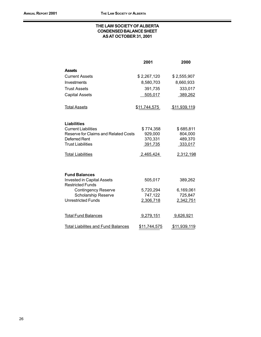#### **THE LAW SOCIETY OF ALBERTA CONDENSED BALANCE SHEET AS AT OCTOBER 31, 2001**

|                                                              | 2001         | 2000         |
|--------------------------------------------------------------|--------------|--------------|
| <b>Assets</b>                                                |              |              |
| <b>Current Assets</b>                                        | \$2,267,120  | \$2,555,907  |
| Investments                                                  | 8,580,703    | 8,660,933    |
| <b>Trust Assets</b>                                          | 391,735      | 333,017      |
| <b>Capital Assets</b>                                        | 505,017      | 389,262      |
| <b>Total Assets</b>                                          | \$11,744,575 | \$11,939,119 |
| Liabilities                                                  |              |              |
| <b>Current Liabilities</b>                                   | \$774,358    | \$685,811    |
| Reserve for Claims and Related Costs                         | 929,000      | 804,000      |
| <b>Deferred Rent</b>                                         | 370,331      | 489,370      |
| <b>Trust Liabilities</b>                                     | 391,735      | 333,017      |
| <b>Total Liabilities</b>                                     | 2,465,424    | 2,312,198    |
| <b>Fund Balances</b>                                         |              |              |
| <b>Invested in Capital Assets</b><br><b>Restricted Funds</b> | 505,017      | 389,262      |
| <b>Contingency Reserve</b>                                   | 5,720,294    | 6,169,061    |
| <b>Scholarship Reserve</b>                                   | 747,122      | 725,847      |
| <b>Unrestricted Funds</b>                                    | 2,306,718    | 2,342,751    |
| <b>Total Fund Balances</b>                                   | 9,279,151    | 9,626,921    |
| <b>Total Liabilites and Fund Balances</b>                    | \$11,744,575 | \$11,939,119 |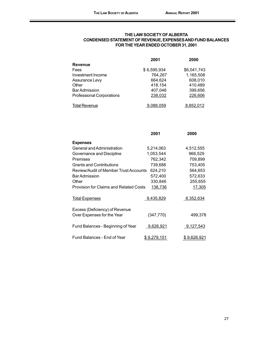the control of the control of the control of the control of the control of the control of

#### **THE LAW SOCIETY OF ALBERTA CONDENSED STATEMENT OF REVENUE, EXPENSES AND FUND BALANCES FOR THE YEAR ENDED OCTOBER 31, 2001**

|                                  | 2001        | 2000        |
|----------------------------------|-------------|-------------|
| <b>Revenue</b>                   |             |             |
| Fees                             | \$6,595,934 | \$6,041,743 |
| Investment Income                | 764,267     | 1,165,508   |
| Assurance Levy                   | 664,624     | 608,010     |
| Other                            | 418,154     | 410,489     |
| <b>Bar Admission</b>             | 407,048     | 399,656     |
| <b>Professional Corporations</b> | 238,032     | 226,606     |
| <b>Total Revenue</b>             | 9,088,059   | 8.852.012   |

|                                               | 2001         | 2000               |
|-----------------------------------------------|--------------|--------------------|
| <b>Expenses</b>                               |              |                    |
| General and Administration                    | 5,214,063    | 4,512,555          |
| Governance and Discipline                     | 1,053,544    | 966,529            |
| Premises                                      | 762,342      | 709,899            |
| <b>Grants and Contributions</b>               | 739,688      | 753,405            |
| Review/Audit of Member Trust Accounts         | 624,210      | 564,653            |
| Bar Admission                                 | 572,400      | 572,633            |
| Other                                         | 330,846      | 255,655            |
| <b>Provision for Claims and Related Costs</b> | 138,736      | 17,305             |
| <b>Total Expenses</b>                         | 9,435,829    | 8,352,634          |
| Excess (Deficiency) of Revenue                |              |                    |
| Over Expenses for the Year                    | (347, 770)   | 499,378            |
| Fund Balances - Beginning of Year             | 9,626,921    | 9,127,543          |
| Fund Balances - End of Year                   | \$ 9,279,151 | <u>\$9,626,921</u> |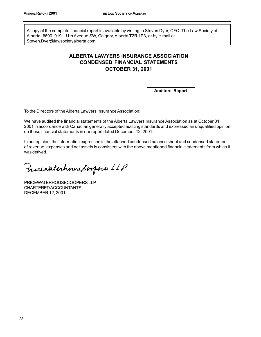A copy of the complete financial report is available by writing to Steven Dyer, CFO, The Law Society of Alberta, #600, 919 - 11th Avenue SW, Calgary, Alberta T2R 1P3, or by e-mail at Steven.Dyer@lawsocietyalberta.com.

### **ALBERTA LAWYERS INSURANCE ASSOCIATION CONDENSED FINANCIAL STATEMENTS OCTOBER 31, 2001**

**Auditors' Report**

To the Directors of the Alberta Lawyers Insurance Association:

We have audited the financial statements of the Alberta Lawyers Insurance Association as at October 31, 2001 in accordance with Canadian generally accepted auditing standards and expressed an unqualified opinion on these financial statements in our report dated December 12, 2001.

In our opinion, the information expressed in the attached condensed balance sheet and condensed statement of revenue, expenses and net assets is consistent with the above mentioned financial statements from which it was derived.

Pricewaterhouse Coopers LLP

PRICEWATERHOUSECOOPERS LLP CHARTERED ACCOUNTANTS DECEMBER 12, 2001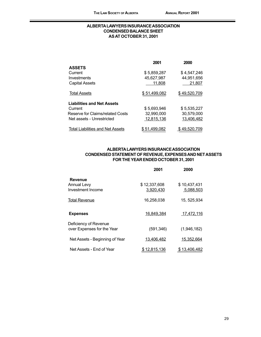#### **ALBERTA LAWYERS INSURANCE ASSOCIATION CONDENSED BALANCE SHEET AS AT OCTOBER 31, 2001**

|                                   | 2001         | 2000         |
|-----------------------------------|--------------|--------------|
| <b>ASSETS</b>                     |              |              |
| Current                           | \$5.859.287  | \$4.547.246  |
| Investments                       | 45,627,987   | 44,951,656   |
| <b>Capital Assets</b>             | 11.808       | 21.807       |
| <b>Total Assets</b>               | \$51,499,082 | \$49,520,709 |
| <b>Liabilities and Net Assets</b> |              |              |
| Current                           | \$5,693,946  | \$5,535,227  |
| Reserve for Claims/related Costs  | 32.990.000   | 30,579,000   |
| Net assets - Unrestricted         | 12.815.136   | 13,406,482   |
| Total Liabilities and Net Assets  | \$51.499.082 | \$49,520,709 |

#### **ALBERTA LAWYERS INSURANCE ASSOCIATION CONDENSED STATEMENT OF REVENUE, EXPENSES AND NET ASSETS FOR THE YEAR ENDED OCTOBER 31, 2001**

|                                                           | 2001                      | 2000                      |
|-----------------------------------------------------------|---------------------------|---------------------------|
| <b>Revenue</b><br><b>Annual Levy</b><br>Investment Income | \$12,337,608<br>3,920,430 | \$10,437,431<br>5,088,503 |
| <b>Total Revenue</b>                                      | 16,258,038                | 15, 525, 934              |
| <b>Expenses</b>                                           | 16.849.384                | 17,472,116                |
| Deficiency of Revenue<br>over Expenses for the Year       | (591, 346)                | (1,946,182)               |
| Net Assets - Beginning of Year                            | 13,406,482                | 15,352,664                |
| Net Assets - End of Year                                  | \$12,815,136              | \$13,406,482              |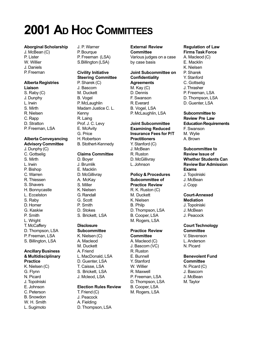# **2001 AD HOC COMMITTEES**

#### **Aborginal Scholarship**

J. McBean (C) P. Lister W. Willier J. Daniels P. Freeman

#### **Alberta Registries Liaison**

S. Raby (C) J. Dunphy L. Irwin S. Mirth R. Nielsen C. Rapp D. Stratton P. Freeman, LSA

#### **Alberta Conveyancing Advisory Committee**

J. Dunphy (C) C. Gottselig S. Mirth L. Irwin P. Bishop C. Warren R. Thiessen S. Shavers H. Bonnycastle L. Eccelston S. Raby D. Homer G. Kaskiw P. Smith L. Wright T. McCaffery D. Thompson, LSA P. Freeman, LSA S. Billington, LSA

#### **Ancillary Business & Multidisciplinary Practice**

K. Nielsen (C) G. Flynn N. Picard J. Topolniski E. Johnson C. Peterson B. Snowdon W. H. Smith L. Sugimoto

#### J. P. Warner P. Bourque P. Freeman (LSA) S.Billington (LSA)

### **Civility Initiative Steering Committee**

P. Sharek (C) J. Bascom M. Duckett B. Vogel P. McLaughlin Madam Justice C. L. Kenny R. Laing Prof. J. C. Levy E. McAvity G. Price H. Robertson B. Stothert-Kennedy

#### **Claims Committee**

D. Boyer J. Brumlik E. Macklin D. McGillivray A. McKay S. Miller K. Nielsen G. Randall G. Scott P. Smith D. Stokes S. Brickett, LSA

#### **Disclosure**

**Subcommittee** K. Nielsen (C) A. Macleod M. Duckett A. Friend L. MacDonald, LSA D. Guenter, LSA T. Caisse, LSA S. Brickett, LSA J. Mcleod, LSA

### **Election Rules Review**

T. Friend (C) J. Peacock A. Fielding D. Thompson, LSA

#### **External Review Committee** Various judges on a case by case basis

### **Joint Subcommittee on Confidentiality**

### **Agreements**

M. Kay (C) D. Dennis F. Swanson R. Everard B. Vogel, LSA P. McLaughlin, LSA

#### **Joint Subcommittee Examining Reduced Insurance Fees for P/T Practitioners**

Y. Stanford (C) J. McBean R. Ruston D. McGillivray L. Johnson

### **Policy & Procedures**

#### **Subcommittee of Practice Review** R. K. Ruston (C) M. Duckett K. Nielsen B. Philp

D. Thompson, LSA B. Cooper, LSA M. Rogers, LSA

### **Practice Review**

**Committee** A. Macleod (C) J. Bascom (VC) R. Ruston E. Bunnell Y. Stanford W. Willier R. Maxwell P. Freeman, LSA D. Thompson, LSA B. Cooper, LSA M. Rogers, LSA

### **Regulation of Law Firms Task Force**

A. Macleod (C) E. Macklin K. Nielsen P. Sharek Y. Stanford C. Gottselig J. Thrasher P. Freeman, LSA D. Thompson, LSA D. Guenter, LSA **Subcommittee to**

**Review Pre Law Education Requirements** F. Swanson M. Wylie A. Brown

#### **Subcommittee to Review Issue of Whether Students Can Review Bar Admission Exams** J. Topolniski

- J. McBean
- J. Copp

### **Court-Annexed**

- **Mediation**
- J. Topolniski
- J. McBean
- J. Peacock

#### **Court Technology Committee**

V. Stevenson L. Anderson

N. Picard

#### **Benevolent Fund Committee**

N. Picard (C) J. Bascom J. McBean M. Taylor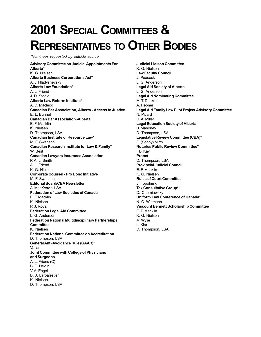# **2001 SPECIAL COMMITTEES & REPRESENTATIVES TO OTHER BODIES**

*\*Nominees requested by outside source*

**Advisory Committee on Judicial Appointments For Alberta**\* K. G. Nielsen **Alberta Business Corporations Act\*** A. J. Hladyshevsky **Alberta Law Foundation\*** A. L. Friend J. D. Steele **Alberta Law Reform Institute\*** A. D. Macleod **Canadian Bar Association, Alberta - Access to Justice** E. L. Bunnell **Canadian Bar Association -Alberta** E. F. Macklin K. Nielsen D. Thompson, LSA **Canadian Institute of Resource Law\*** M. F. Swanson **Canadian Research Institute for Law & Family\*** W. Best **Canadian Lawyers Insurance Association** P. A. L. Smith A. L. Friend K. G. Nielsen **Corporate Counsel - Pro Bono Initiative** M. F. Swanson **Editorial Board/CBA Newsletter** A. MacKenzie, LSA **Federation of Law Societies of Canada** E. F. Macklin K. Nielsen P. J. Royal **Federation Legal Aid Committee** L. G. Anderson **Federation National Multidisciplinary Partnerships Committee** K. Nielsen **Federation National Committee on Accreditation** D. Thompson, LSA **General Anti-Avoidance Rule (GAAR)\*** Vacant **Joint Committee with College of Physicians and Surgeons** A. L. Friend (C) B. E. Devlin V. A. Engel B. J. Larbalestier K. Nielsen

D. Thompson, LSA

**Judicial Liaison Committee** K. G. Nielsen **Law Faculty Council** J. Peacock L. G. Anderson **Legal Aid Society of Alberta** L. G. Anderson **Legal Aid Nominating Committee** M. T. Duckett A. Hepner **Legal Aid Family Law Pilot Project Advisory Committee** N. Picard D. A. Miller **Legal Education Society of Alberta** B. Mahoney D. Thompson, LSA **Legislative Review Committee (CBA)\*** E. (Sonny) Mirth **Notaries Public Review Committee\*** I. B. Kay **Pronet** D. Thompson, LSA **Provincial Judicial Council** E. F. Macklin K. G. Nielsen **Rules of Court Committee** J. Topolniski **Tax Consultative Group\*** D. Cherniawsky **Uniform Law Conference of Canada\*** N. C. Wittmann **Viscount Bennett Scholarship Committee** E. F. Macklin K. G. Nielsen M. Wylie L. Klar

D. Thompson, LSA